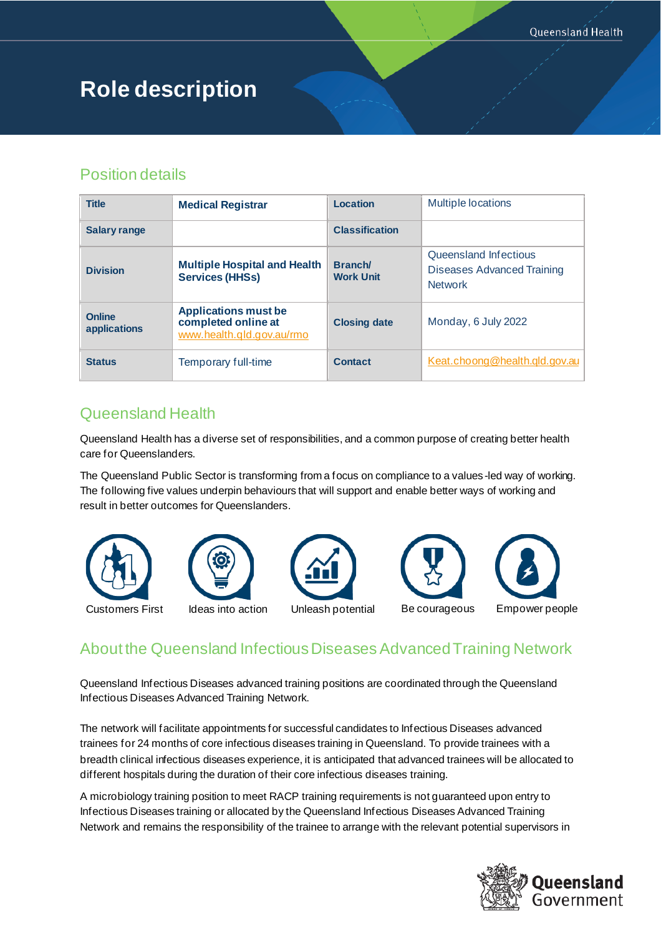# **Role description**

# Position details

| <b>Title</b>                  | <b>Medical Registrar</b>                                                        | Location                    | <b>Multiple locations</b>                                                    |
|-------------------------------|---------------------------------------------------------------------------------|-----------------------------|------------------------------------------------------------------------------|
| <b>Salary range</b>           |                                                                                 | <b>Classification</b>       |                                                                              |
| <b>Division</b>               | <b>Multiple Hospital and Health</b><br><b>Services (HHSs)</b>                   | Branch/<br><b>Work Unit</b> | Queensland Infectious<br><b>Diseases Advanced Training</b><br><b>Network</b> |
| <b>Online</b><br>applications | <b>Applications must be</b><br>completed online at<br>www.health.qld.gov.au/rmo | <b>Closing date</b>         | Monday, 6 July 2022                                                          |
| <b>Status</b>                 | Temporary full-time                                                             | <b>Contact</b>              | Keat.choong@health.qld.gov.au                                                |

# Queensland Health

Queensland Health has a diverse set of responsibilities, and a common purpose of creating better health care for Queenslanders.

The Queensland Public Sector is transforming from a focus on compliance to a values-led way of working. The following five values underpin behaviours that will support and enable better ways of working and result in better outcomes for Queenslanders.









Customers First Ideas into action Unleash potential Be courageous Empower people

# About the Queensland Infectious Diseases Advanced Training Network

Queensland Infectious Diseases advanced training positions are coordinated through the Queensland Infectious Diseases Advanced Training Network.

The network will facilitate appointments for successful candidates to Infectious Diseases advanced trainees for 24 months of core infectious diseases training in Queensland. To provide trainees with a breadth clinical infectious diseases experience, it is anticipated that advanced trainees will be allocated to different hospitals during the duration of their core infectious diseases training.

A microbiology training position to meet RACP training requirements is not guaranteed upon entry to Infectious Diseases training or allocated by the Queensland Infectious Diseases Advanced Training Network and remains the responsibility of the trainee to arrange with the relevant potential supervisors in

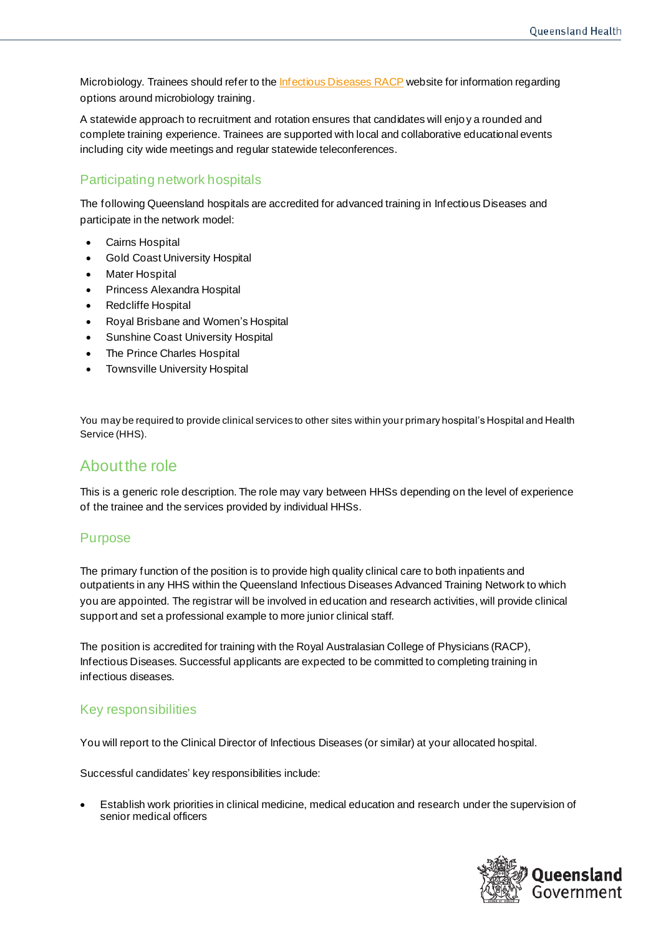Microbiology. Trainees should refer to th[e Infectious Diseases RACP](https://www.racp.edu.au/trainees/advanced-training/advanced-training-programs/infectious-diseases) website for information regarding options around microbiology training.

A statewide approach to recruitment and rotation ensures that candidates will enjoy a rounded and complete training experience. Trainees are supported with local and collaborative educational events including city wide meetings and regular statewide teleconferences.

## Participating network hospitals

The following Queensland hospitals are accredited for advanced training in Infectious Diseases and participate in the network model:

- Cairns Hospital
- **Gold Coast University Hospital**
- **Mater Hospital**
- Princess Alexandra Hospital
- Redcliffe Hospital
- Royal Brisbane and Women's Hospital
- Sunshine Coast University Hospital
- The Prince Charles Hospital
- Townsville University Hospital

You may be required to provide clinical services to other sites within your primary hospital's Hospital and Health Service (HHS).

# About the role

This is a generic role description. The role may vary between HHSs depending on the level of experience of the trainee and the services provided by individual HHSs.

#### Purpose

The primary function of the position is to provide high quality clinical care to both inpatients and outpatients in any HHS within the Queensland Infectious Diseases Advanced Training Network to which you are appointed. The registrar will be involved in education and research activities, will provide clinical support and set a professional example to more junior clinical staff.

The position is accredited for training with the Royal Australasian College of Physicians (RACP), Infectious Diseases. Successful applicants are expected to be committed to completing training in infectious diseases.

#### Key responsibilities

You will report to the Clinical Director of Infectious Diseases (or similar) at your allocated hospital.

Successful candidates' key responsibilities include:

• Establish work priorities in clinical medicine, medical education and research under the supervision of senior medical officers

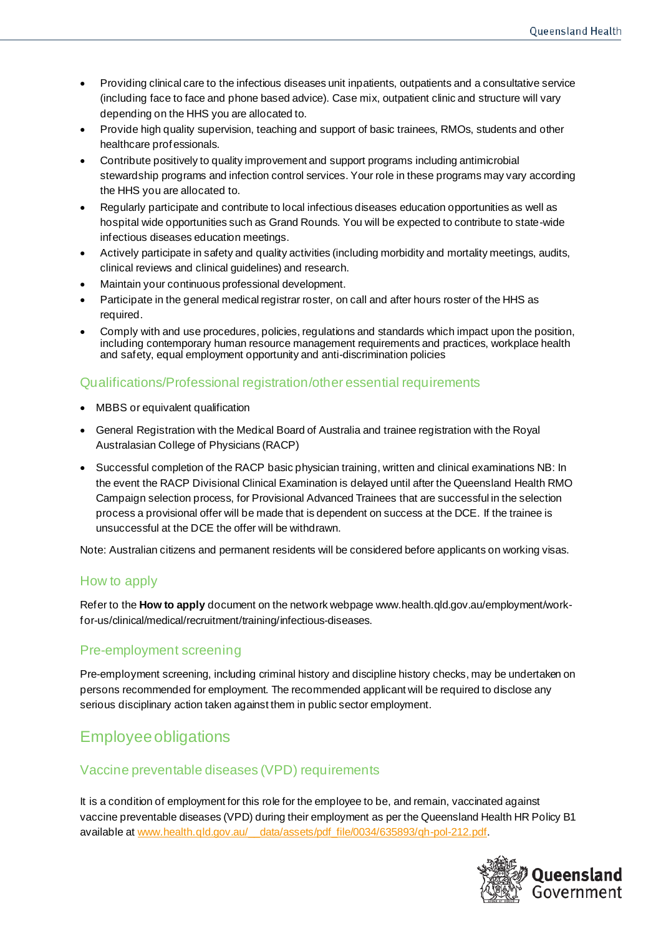- Providing clinical care to the infectious diseases unit inpatients, outpatients and a consultative service (including face to face and phone based advice). Case mix, outpatient clinic and structure will vary depending on the HHS you are allocated to.
- Provide high quality supervision, teaching and support of basic trainees, RMOs, students and other healthcare professionals.
- Contribute positively to quality improvement and support programs including antimicrobial stewardship programs and infection control services. Your role in these programs may vary according the HHS you are allocated to.
- Regularly participate and contribute to local infectious diseases education opportunities as well as hospital wide opportunities such as Grand Rounds. You will be expected to contribute to state-wide infectious diseases education meetings.
- Actively participate in safety and quality activities (including morbidity and mortality meetings, audits, clinical reviews and clinical guidelines) and research.
- Maintain your continuous professional development.
- Participate in the general medical registrar roster, on call and after hours roster of the HHS as required.
- Comply with and use procedures, policies, regulations and standards which impact upon the position, including contemporary human resource management requirements and practices, workplace health and safety, equal employment opportunity and anti-discrimination policies

## Qualifications/Professional registration/other essential requirements

- MBBS or equivalent qualification
- General Registration with the Medical Board of Australia and trainee registration with the Royal Australasian College of Physicians (RACP)
- Successful completion of the RACP basic physician training, written and clinical examinations NB: In the event the RACP Divisional Clinical Examination is delayed until after the Queensland Health RMO Campaign selection process, for Provisional Advanced Trainees that are successful in the selection process a provisional offer will be made that is dependent on success at the DCE. If the trainee is unsuccessful at the DCE the offer will be withdrawn.

Note: Australian citizens and permanent residents will be considered before applicants on working visas.

#### How to apply

Refer to the **How to apply** document on the network webpage www.health.qld.gov.au/employment/workfor-us/clinical/medical/recruitment/training/infectious-diseases.

#### Pre-employment screening

Pre-employment screening, including criminal history and discipline history checks, may be undertaken on persons recommended for employment. The recommended applicant will be required to disclose any serious disciplinary action taken against them in public sector employment.

# Employee obligations

#### Vaccine preventable diseases (VPD) requirements

It is a condition of employment for this role for the employee to be, and remain, vaccinated against vaccine preventable diseases (VPD) during their employment as per the Queensland Health HR Policy B1 available at www.health.qld.gov.au/ data/assets/pdf\_file/0034/635893/qh-pol-212.pdf.